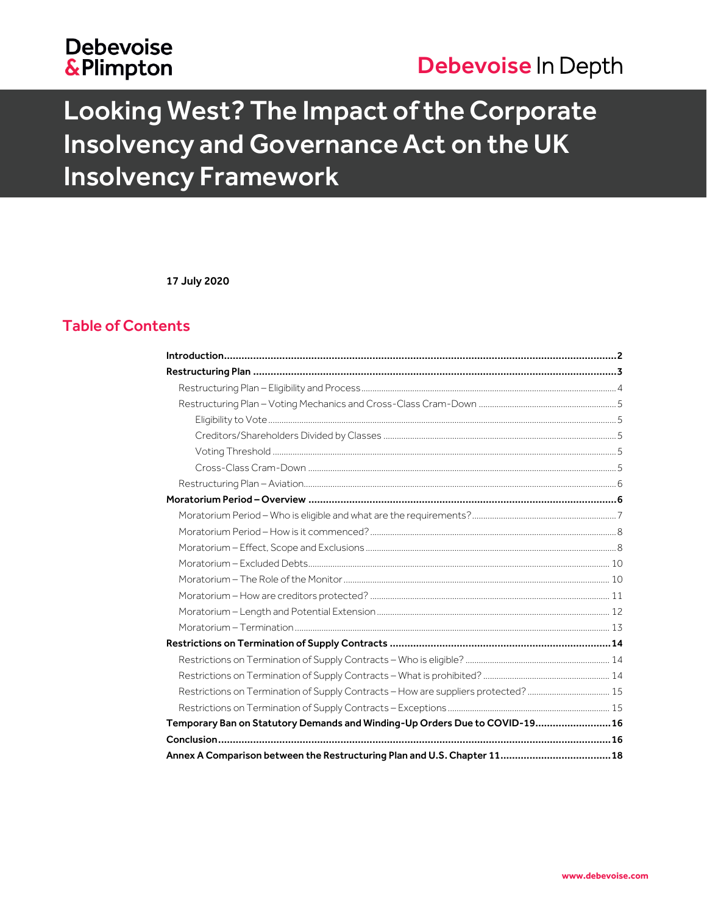# **Debevoise &Plimpton**

# Debevoise In Depth

# Looking West? The Impact of the Corporate Insolvency and Governance Act on the UK **Insolvency Framework**

17 July 2020

# **Table of Contents**

| Restrictions on Termination of Supply Contracts - How are suppliers protected?  15 |  |
|------------------------------------------------------------------------------------|--|
|                                                                                    |  |
| Temporary Ban on Statutory Demands and Winding-Up Orders Due to COVID-1916         |  |
|                                                                                    |  |
| Annex A Comparison between the Restructuring Plan and U.S. Chapter 11 18           |  |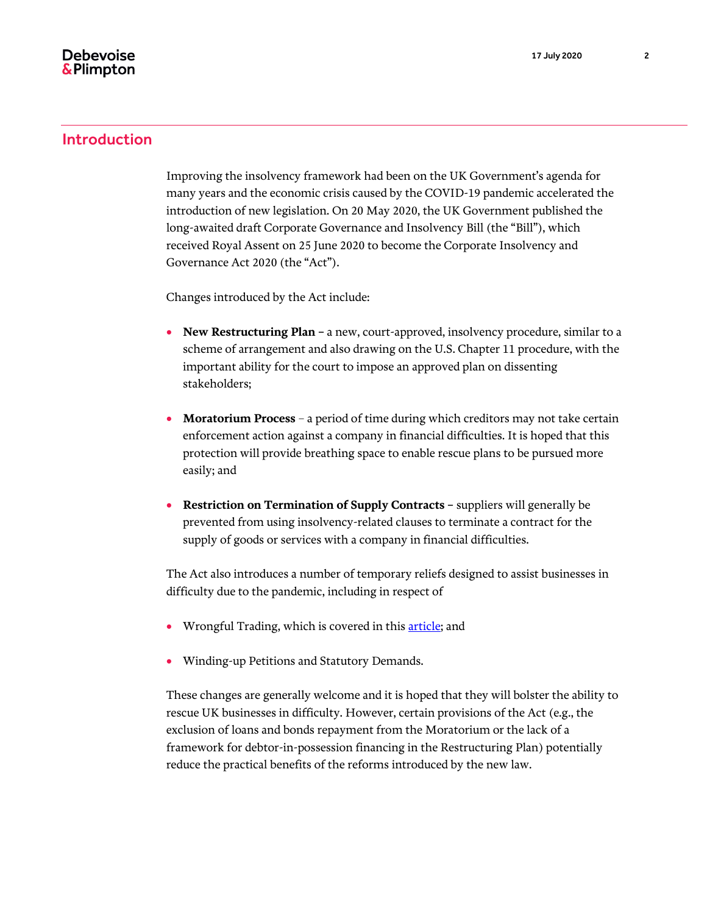### <span id="page-1-0"></span>Introduction

Improving the insolvency framework had been on the UK Government's agenda for many years and the economic crisis caused by the COVID-19 pandemic accelerated the introduction of new legislation. On 20 May 2020, the UK Government published the long-awaited draft Corporate Governance and Insolvency Bill (the "Bill"), which received Royal Assent on 25 June 2020 to become the Corporate Insolvency and Governance Act 2020 (the "Act").

Changes introduced by the Act include:

- **New Restructuring Plan –** a new, court-approved, insolvency procedure, similar to a scheme of arrangement and also drawing on the U.S. Chapter 11 procedure, with the important ability for the court to impose an approved plan on dissenting stakeholders;
- **Moratorium Process** a period of time during which creditors may not take certain enforcement action against a company in financial difficulties. It is hoped that this protection will provide breathing space to enable rescue plans to be pursued more easily; and
- **Restriction on Termination of Supply Contracts –** suppliers will generally be prevented from using insolvency-related clauses to terminate a contract for the supply of goods or services with a company in financial difficulties.

The Act also introduces a number of temporary reliefs designed to assist businesses in difficulty due to the pandemic, including in respect of

- Wrongful Trading, which is covered in thi[s article;](https://www.debevoise.com/insights/publications/2020/05/suspension-of-wrongful-trading-provisions) and
- Winding-up Petitions and Statutory Demands.

These changes are generally welcome and it is hoped that they will bolster the ability to rescue UK businesses in difficulty. However, certain provisions of the Act (e.g., the exclusion of loans and bonds repayment from the Moratorium or the lack of a framework for debtor-in-possession financing in the Restructuring Plan) potentially reduce the practical benefits of the reforms introduced by the new law.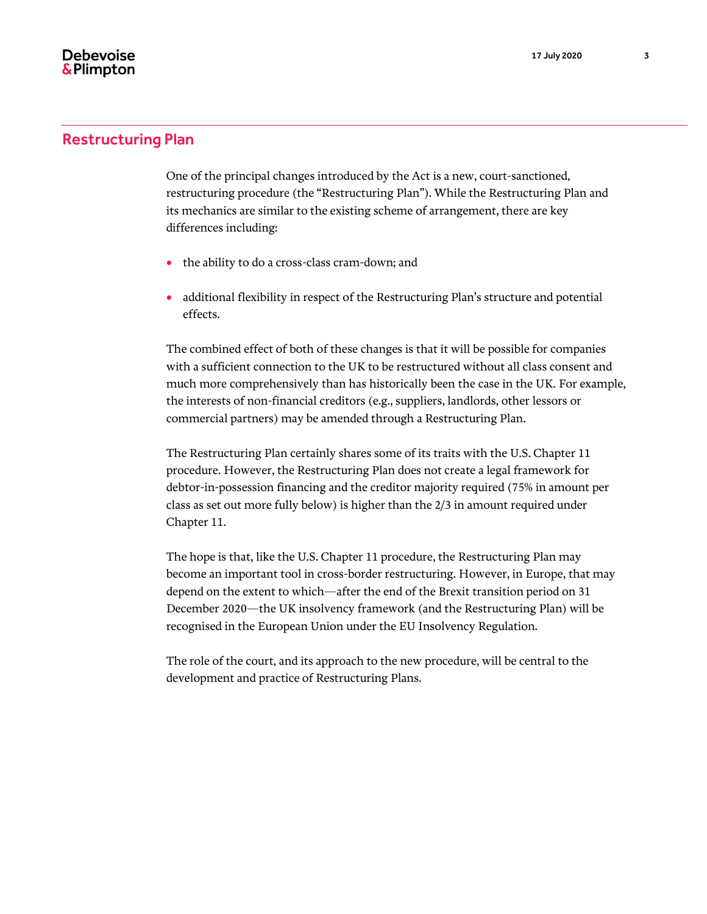## <span id="page-2-0"></span>Restructuring Plan

One of the principal changes introduced by the Act is a new, court-sanctioned, restructuring procedure (the "Restructuring Plan"). While the Restructuring Plan and its mechanics are similar to the existing scheme of arrangement, there are key differences including:

- the ability to do a cross-class cram-down; and
- additional flexibility in respect of the Restructuring Plan's structure and potential effects.

The combined effect of both of these changes is that it will be possible for companies with a sufficient connection to the UK to be restructured without all class consent and much more comprehensively than has historically been the case in the UK. For example, the interests of non-financial creditors (e.g., suppliers, landlords, other lessors or commercial partners) may be amended through a Restructuring Plan.

The Restructuring Plan certainly shares some of its traits with the U.S. Chapter 11 procedure. However, the Restructuring Plan does not create a legal framework for debtor-in-possession financing and the creditor majority required (75% in amount per class as set out more fully below) is higher than the 2/3 in amount required under Chapter 11.

The hope is that, like the U.S. Chapter 11 procedure, the Restructuring Plan may become an important tool in cross-border restructuring. However, in Europe, that may depend on the extent to which—after the end of the Brexit transition period on 31 December 2020—the UK insolvency framework (and the Restructuring Plan) will be recognised in the European Union under the EU Insolvency Regulation.

The role of the court, and its approach to the new procedure, will be central to the development and practice of Restructuring Plans.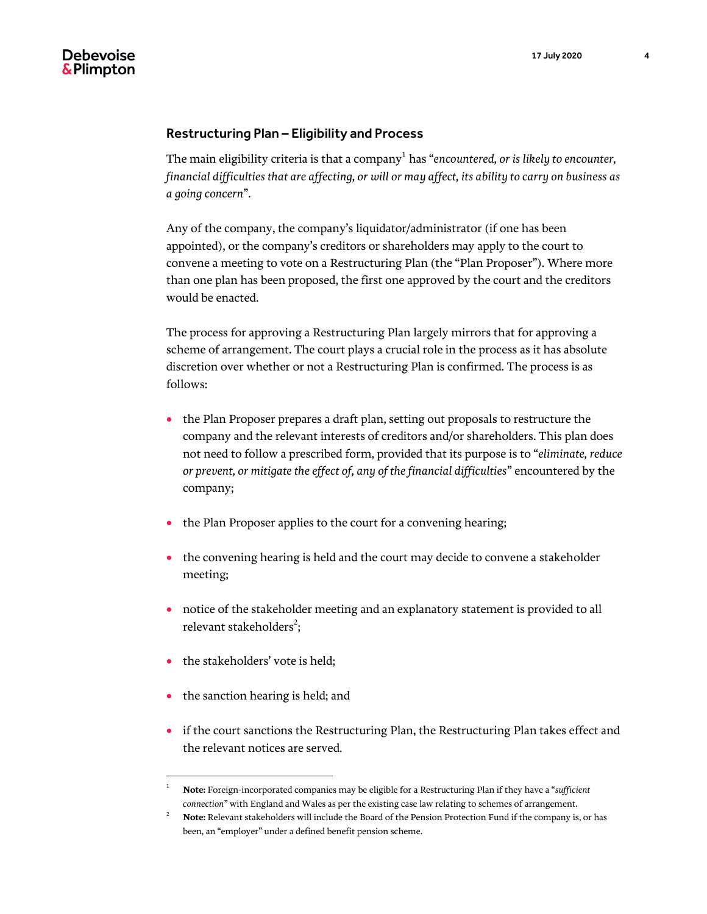#### <span id="page-3-0"></span>Restructuring Plan – Eligibility and Process

The main eligibility criteria is that a company<sup>1</sup> has "*encountered, or is likely to encounter, financial difficulties that are affecting, or will or may affect, its ability to carry on business as a going concern*".

Any of the company, the company's liquidator/administrator (if one has been appointed), or the company's creditors or shareholders may apply to the court to convene a meeting to vote on a Restructuring Plan (the "Plan Proposer"). Where more than one plan has been proposed, the first one approved by the court and the creditors would be enacted.

The process for approving a Restructuring Plan largely mirrors that for approving a scheme of arrangement. The court plays a crucial role in the process as it has absolute discretion over whether or not a Restructuring Plan is confirmed. The process is as follows:

- the Plan Proposer prepares a draft plan, setting out proposals to restructure the company and the relevant interests of creditors and/or shareholders. This plan does not need to follow a prescribed form, provided that its purpose is to "*eliminate, reduce or prevent, or mitigate the effect of, any of the financial difficulties*" encountered by the company;
- the Plan Proposer applies to the court for a convening hearing;
- the convening hearing is held and the court may decide to convene a stakeholder meeting;
- notice of the stakeholder meeting and an explanatory statement is provided to all relevant stakeholders<sup>2</sup>;
- the stakeholders' vote is held;

- the sanction hearing is held; and
- if the court sanctions the Restructuring Plan, the Restructuring Plan takes effect and the relevant notices are served.

<sup>1</sup> **Note:** Foreign-incorporated companies may be eligible for a Restructuring Plan if they have a "*sufficient connection*" with England and Wales as per the existing case law relating to schemes of arrangement.

<sup>2</sup> **Note:** Relevant stakeholders will include the Board of the Pension Protection Fund if the company is, or has been, an "employer" under a defined benefit pension scheme.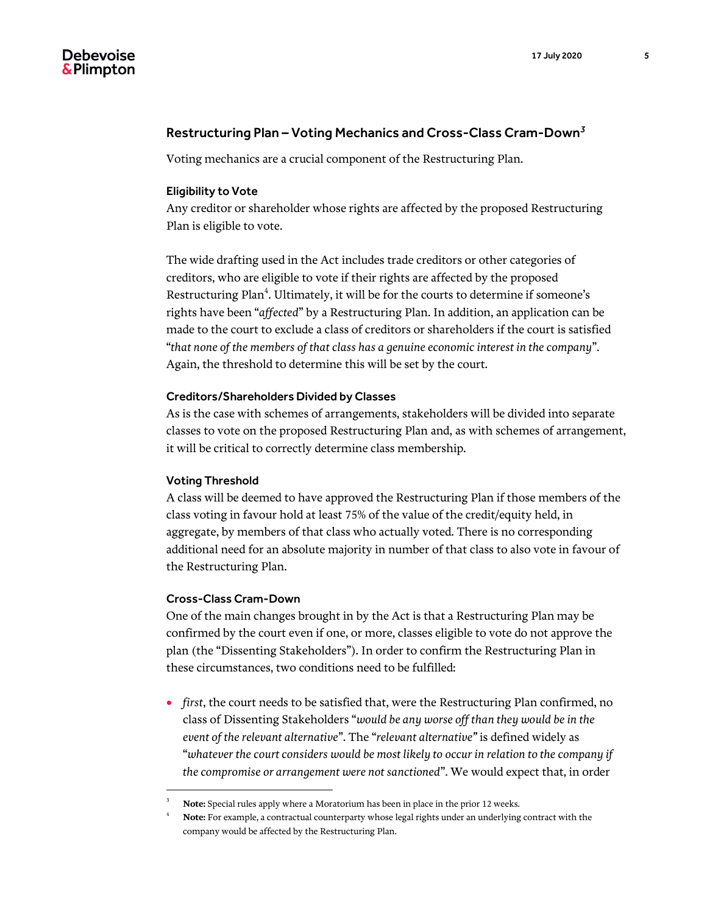#### 17 July 2020 5

# <span id="page-4-0"></span>**Debevoise** & Plimpton

## Restructuring Plan – Voting Mechanics and Cross-Class Cram-Down*<sup>3</sup>*

Voting mechanics are a crucial component of the Restructuring Plan.

#### <span id="page-4-1"></span>Eligibility to Vote

Any creditor or shareholder whose rights are affected by the proposed Restructuring Plan is eligible to vote.

The wide drafting used in the Act includes trade creditors or other categories of creditors, who are eligible to vote if their rights are affected by the proposed Restructuring Plan $\hbox{}^4$ . Ultimately, it will be for the courts to determine if someone's rights have been "*affected*" by a Restructuring Plan. In addition, an application can be made to the court to exclude a class of creditors or shareholders if the court is satisfied "*that none of the members of that class has a genuine economic interest in the company*". Again, the threshold to determine this will be set by the court.

#### <span id="page-4-2"></span>Creditors/Shareholders Divided by Classes

As is the case with schemes of arrangements, stakeholders will be divided into separate classes to vote on the proposed Restructuring Plan and, as with schemes of arrangement, it will be critical to correctly determine class membership.

#### <span id="page-4-3"></span>Voting Threshold

A class will be deemed to have approved the Restructuring Plan if those members of the class voting in favour hold at least 75% of the value of the credit/equity held, in aggregate, by members of that class who actually voted. There is no corresponding additional need for an absolute majority in number of that class to also vote in favour of the Restructuring Plan.

#### <span id="page-4-4"></span>Cross-Class Cram-Down

 $\overline{a}$ 

One of the main changes brought in by the Act is that a Restructuring Plan may be confirmed by the court even if one, or more, classes eligible to vote do not approve the plan (the "Dissenting Stakeholders"). In order to confirm the Restructuring Plan in these circumstances, two conditions need to be fulfilled:

 *first*, the court needs to be satisfied that, were the Restructuring Plan confirmed, no class of Dissenting Stakeholders "*would be any worse off than they would be in the event of the relevant alternative*". The "*relevant alternative"* is defined widely as "*whatever the court considers would be most likely to occur in relation to the company if the compromise or arrangement were not sanctioned*". We would expect that, in order

<sup>3</sup> **Note:** Special rules apply where a Moratorium has been in place in the prior 12 weeks.

Note: For example, a contractual counterparty whose legal rights under an underlying contract with the company would be affected by the Restructuring Plan.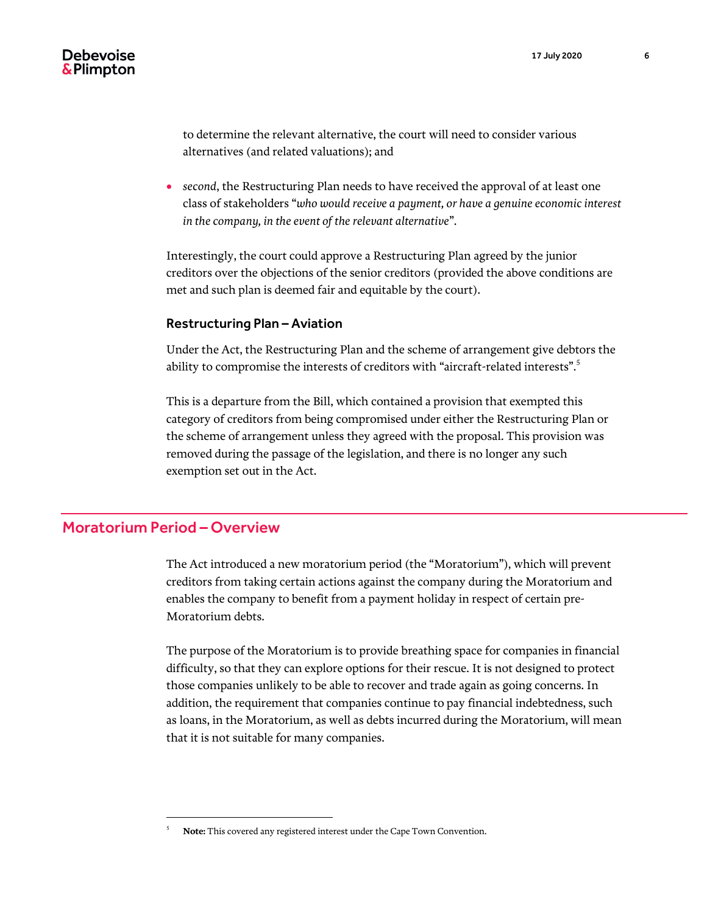to determine the relevant alternative, the court will need to consider various alternatives (and related valuations); and

 *second*, the Restructuring Plan needs to have received the approval of at least one class of stakeholders "*who would receive a payment, or have a genuine economic interest in the company, in the event of the relevant alternative*".

Interestingly, the court could approve a Restructuring Plan agreed by the junior creditors over the objections of the senior creditors (provided the above conditions are met and such plan is deemed fair and equitable by the court).

#### <span id="page-5-0"></span>Restructuring Plan – Aviation

Under the Act, the Restructuring Plan and the scheme of arrangement give debtors the ability to compromise the interests of creditors with "aircraft-related interests". $\mathbf{\overset{\tiny 3}{\scriptscriptstyle .}}$ 

This is a departure from the Bill, which contained a provision that exempted this category of creditors from being compromised under either the Restructuring Plan or the scheme of arrangement unless they agreed with the proposal. This provision was removed during the passage of the legislation, and there is no longer any such exemption set out in the Act.

# <span id="page-5-1"></span>Moratorium Period – Overview

 $\overline{a}$ 

The Act introduced a new moratorium period (the "Moratorium"), which will prevent creditors from taking certain actions against the company during the Moratorium and enables the company to benefit from a payment holiday in respect of certain pre-Moratorium debts.

The purpose of the Moratorium is to provide breathing space for companies in financial difficulty, so that they can explore options for their rescue. It is not designed to protect those companies unlikely to be able to recover and trade again as going concerns. In addition, the requirement that companies continue to pay financial indebtedness, such as loans, in the Moratorium, as well as debts incurred during the Moratorium, will mean that it is not suitable for many companies.

<sup>5</sup> **Note:** This covered any registered interest under the Cape Town Convention.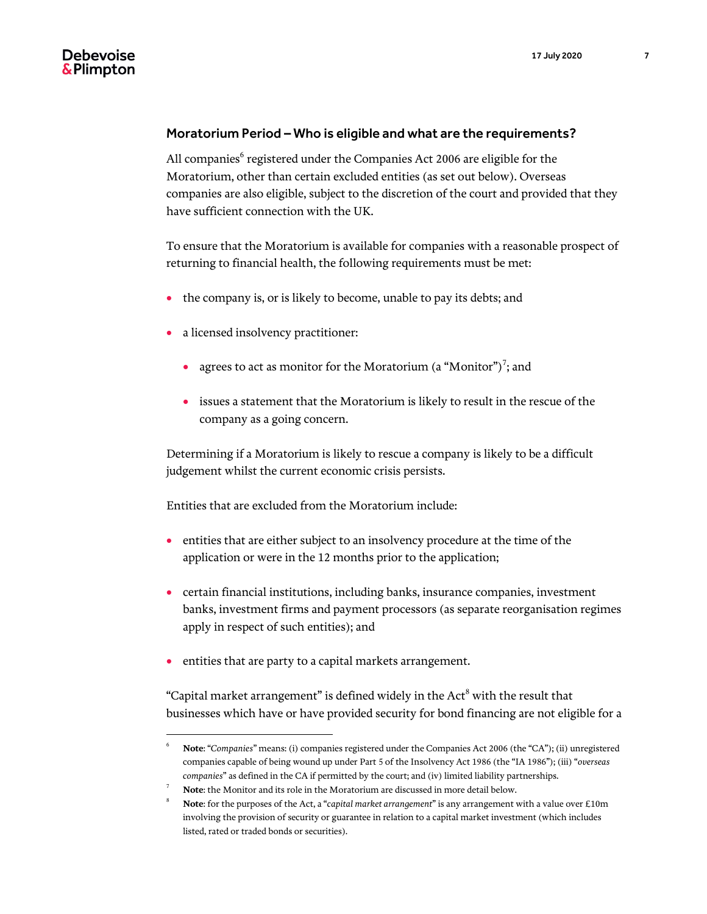#### <span id="page-6-0"></span>Moratorium Period – Who is eligible and what are the requirements?

All companies<sup>6</sup> registered under the Companies Act 2006 are eligible for the Moratorium, other than certain excluded entities (as set out below). Overseas companies are also eligible, subject to the discretion of the court and provided that they have sufficient connection with the UK.

To ensure that the Moratorium is available for companies with a reasonable prospect of returning to financial health, the following requirements must be met:

- the company is, or is likely to become, unable to pay its debts; and
- a licensed insolvency practitioner:
	- agrees to act as monitor for the Moratorium (a "Monitor")<sup>7</sup>; and
	- issues a statement that the Moratorium is likely to result in the rescue of the company as a going concern.

Determining if a Moratorium is likely to rescue a company is likely to be a difficult judgement whilst the current economic crisis persists.

Entities that are excluded from the Moratorium include:

- entities that are either subject to an insolvency procedure at the time of the application or were in the 12 months prior to the application;
- certain financial institutions, including banks, insurance companies, investment banks, investment firms and payment processors (as separate reorganisation regimes apply in respect of such entities); and
- entities that are party to a capital markets arrangement.

 $\overline{a}$ 

"Capital market arrangement" is defined widely in the Act $^8$  with the result that businesses which have or have provided security for bond financing are not eligible for a

<sup>6</sup> **Note**: "*Companies*" means: (i) companies registered under the Companies Act 2006 (the "CA"); (ii) unregistered companies capable of being wound up under Part 5 of the Insolvency Act 1986 (the "IA 1986"); (iii) "*overseas companies*" as defined in the CA if permitted by the court; and (iv) limited liability partnerships.

<sup>7</sup> **Note**: the Monitor and its role in the Moratorium are discussed in more detail below.

<sup>8</sup> **Note**: for the purposes of the Act, a "*capital market arrangement*" is any arrangement with a value over £10m involving the provision of security or guarantee in relation to a capital market investment (which includes listed, rated or traded bonds or securities).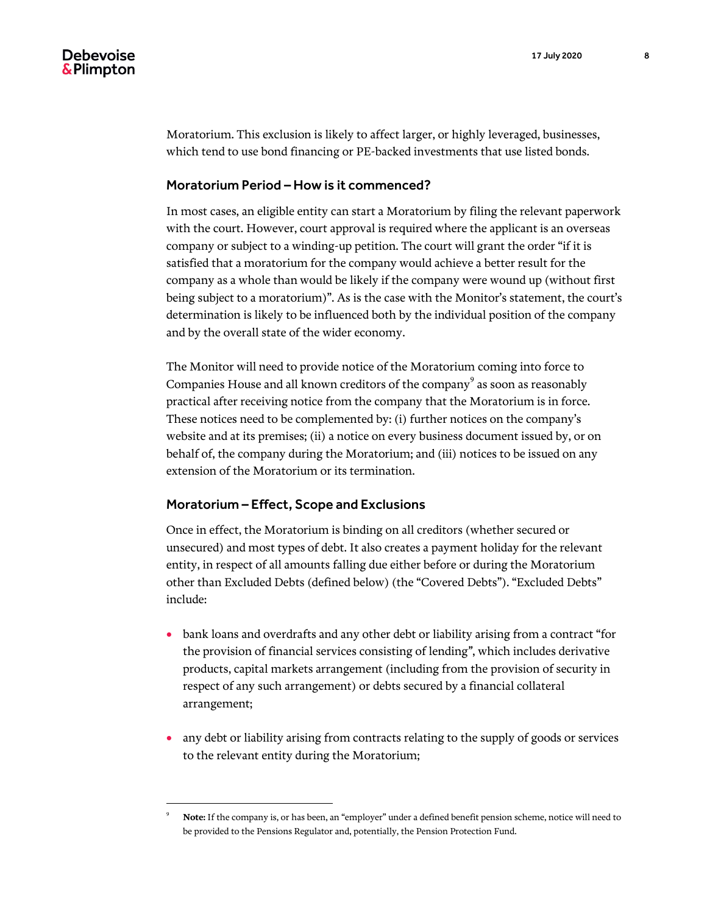Moratorium. This exclusion is likely to affect larger, or highly leveraged, businesses, which tend to use bond financing or PE-backed investments that use listed bonds.

#### <span id="page-7-0"></span>Moratorium Period – How is it commenced?

In most cases, an eligible entity can start a Moratorium by filing the relevant paperwork with the court. However, court approval is required where the applicant is an overseas company or subject to a winding-up petition. The court will grant the order "if it is satisfied that a moratorium for the company would achieve a better result for the company as a whole than would be likely if the company were wound up (without first being subject to a moratorium)". As is the case with the Monitor's statement, the court's determination is likely to be influenced both by the individual position of the company and by the overall state of the wider economy.

The Monitor will need to provide notice of the Moratorium coming into force to Companies House and all known creditors of the company $^9$  as soon as reasonably practical after receiving notice from the company that the Moratorium is in force. These notices need to be complemented by: (i) further notices on the company's website and at its premises; (ii) a notice on every business document issued by, or on behalf of, the company during the Moratorium; and (iii) notices to be issued on any extension of the Moratorium or its termination.

#### <span id="page-7-1"></span>Moratorium – Effect, Scope and Exclusions

 $\overline{a}$ 

Once in effect, the Moratorium is binding on all creditors (whether secured or unsecured) and most types of debt. It also creates a payment holiday for the relevant entity, in respect of all amounts falling due either before or during the Moratorium other than Excluded Debts (defined below) (the "Covered Debts"). "Excluded Debts" include:

- bank loans and overdrafts and any other debt or liability arising from a contract "for the provision of financial services consisting of lending*"*, which includes derivative products, capital markets arrangement (including from the provision of security in respect of any such arrangement) or debts secured by a financial collateral arrangement;
- any debt or liability arising from contracts relating to the supply of goods or services to the relevant entity during the Moratorium;

<sup>9</sup> **Note:** If the company is, or has been, an "employer" under a defined benefit pension scheme, notice will need to be provided to the Pensions Regulator and, potentially, the Pension Protection Fund.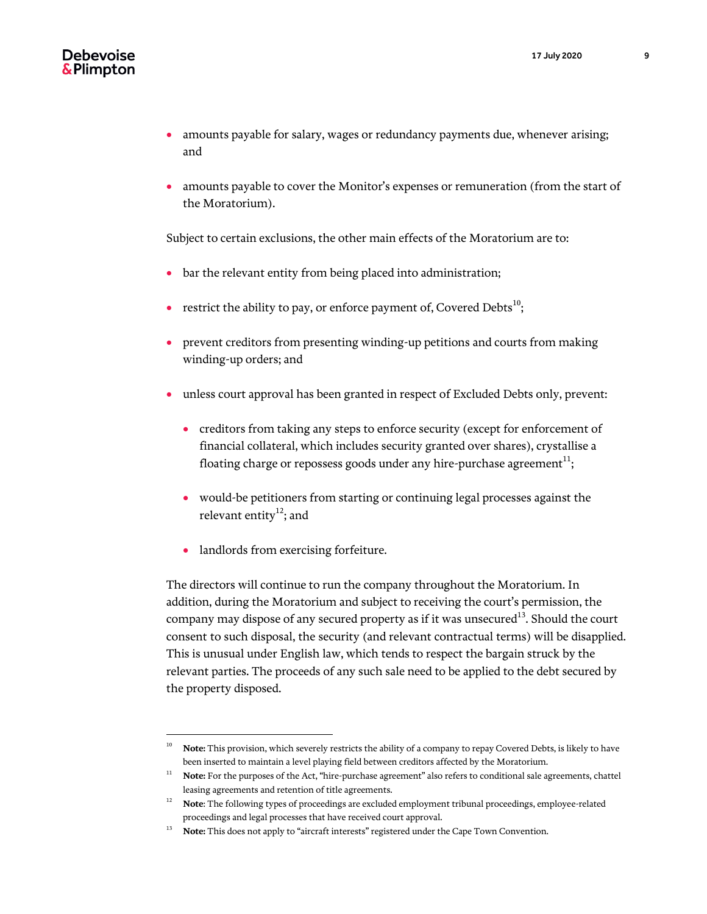- amounts payable for salary, wages or redundancy payments due, whenever arising; and
- amounts payable to cover the Monitor's expenses or remuneration (from the start of the Moratorium).

Subject to certain exclusions, the other main effects of the Moratorium are to:

- bar the relevant entity from being placed into administration;
- restrict the ability to pay, or enforce payment of, Covered Debts $^{10}$ ;
- prevent creditors from presenting winding-up petitions and courts from making winding-up orders; and
- unless court approval has been granted in respect of Excluded Debts only, prevent:
	- creditors from taking any steps to enforce security (except for enforcement of financial collateral, which includes security granted over shares), crystallise a floating charge or repossess goods under any hire-purchase agreement $^{\rm 11};$
	- would-be petitioners from starting or continuing legal processes against the relevant entity $12$ ; and
	- landlords from exercising forfeiture.

 $\overline{a}$ 

The directors will continue to run the company throughout the Moratorium. In addition, during the Moratorium and subject to receiving the court's permission, the company may dispose of any secured property as if it was unsecured<sup>13</sup>. Should the court consent to such disposal, the security (and relevant contractual terms) will be disapplied. This is unusual under English law, which tends to respect the bargain struck by the relevant parties. The proceeds of any such sale need to be applied to the debt secured by the property disposed.

<sup>&</sup>lt;sup>10</sup> **Note:** This provision, which severely restricts the ability of a company to repay Covered Debts, is likely to have been inserted to maintain a level playing field between creditors affected by the Moratorium.

<sup>&</sup>lt;sup>11</sup> **Note:** For the purposes of the Act, "hire-purchase agreement" also refers to conditional sale agreements, chattel leasing agreements and retention of title agreements.

<sup>12</sup> **Note**: The following types of proceedings are excluded employment tribunal proceedings, employee-related proceedings and legal processes that have received court approval.

<sup>&</sup>lt;sup>13</sup> Note: This does not apply to "aircraft interests" registered under the Cape Town Convention.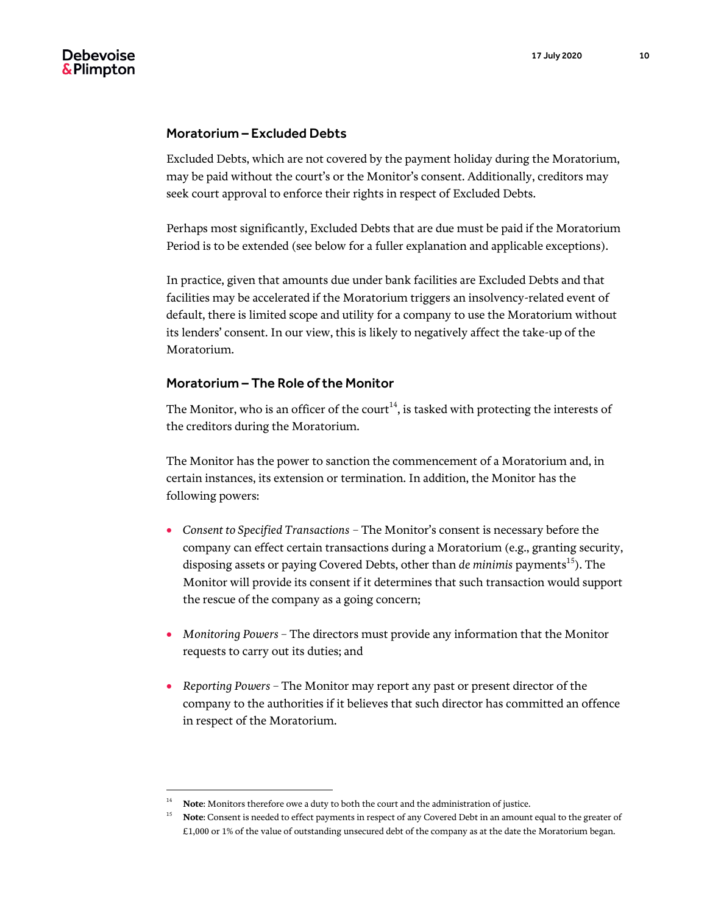#### <span id="page-9-0"></span>Moratorium – Excluded Debts

Excluded Debts, which are not covered by the payment holiday during the Moratorium, may be paid without the court's or the Monitor's consent. Additionally, creditors may seek court approval to enforce their rights in respect of Excluded Debts.

Perhaps most significantly, Excluded Debts that are due must be paid if the Moratorium Period is to be extended (see below for a fuller explanation and applicable exceptions).

In practice, given that amounts due under bank facilities are Excluded Debts and that facilities may be accelerated if the Moratorium triggers an insolvency-related event of default, there is limited scope and utility for a company to use the Moratorium without its lenders' consent. In our view, this is likely to negatively affect the take-up of the Moratorium.

#### <span id="page-9-1"></span>Moratorium – The Role of the Monitor

The Monitor, who is an officer of the court<sup>14</sup>, is tasked with protecting the interests of the creditors during the Moratorium.

The Monitor has the power to sanction the commencement of a Moratorium and, in certain instances, its extension or termination. In addition, the Monitor has the following powers:

- *Consent to Specified Transactions* The Monitor's consent is necessary before the company can effect certain transactions during a Moratorium (e.g., granting security, disposing assets or paying Covered Debts, other than *de minimis* payments<sup>15</sup>). The Monitor will provide its consent if it determines that such transaction would support the rescue of the company as a going concern;
- *Monitoring Powers –* The directors must provide any information that the Monitor requests to carry out its duties; and
- *Reporting Powers –* The Monitor may report any past or present director of the company to the authorities if it believes that such director has committed an offence in respect of the Moratorium.

Note: Monitors therefore owe a duty to both the court and the administration of justice.

<sup>&</sup>lt;sup>15</sup> **Note**: Consent is needed to effect payments in respect of any Covered Debt in an amount equal to the greater of £1,000 or 1% of the value of outstanding unsecured debt of the company as at the date the Moratorium began.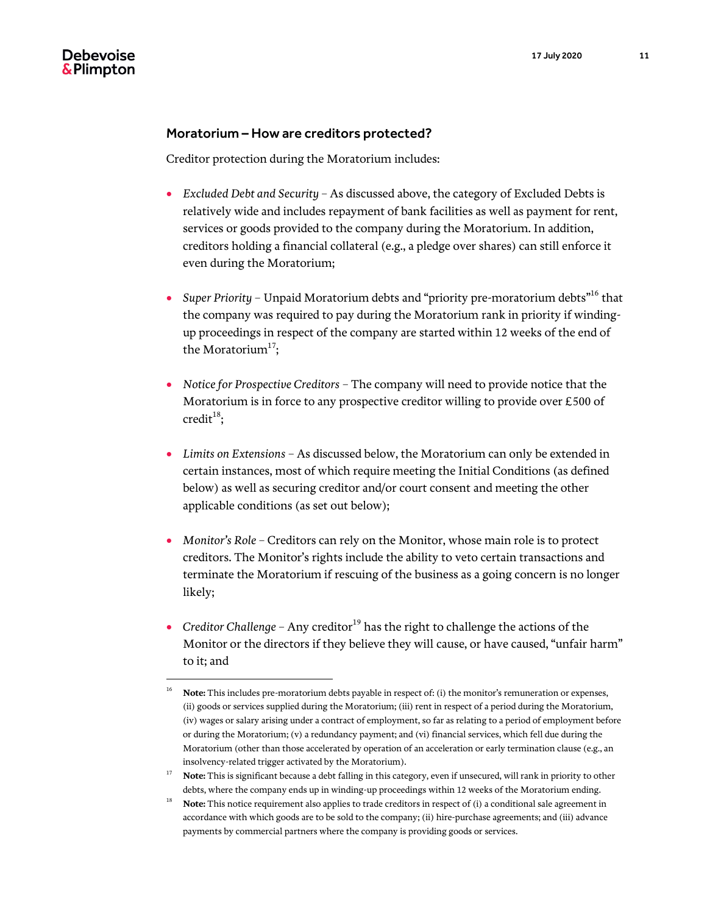#### <span id="page-10-0"></span>Moratorium – How are creditors protected?

Creditor protection during the Moratorium includes:

- *Excluded Debt and Security –* As discussed above, the category of Excluded Debts is relatively wide and includes repayment of bank facilities as well as payment for rent, services or goods provided to the company during the Moratorium. In addition, creditors holding a financial collateral (e.g., a pledge over shares) can still enforce it even during the Moratorium;
- Super Priority Unpaid Moratorium debts and "priority pre-moratorium debts"<sup>16</sup> that the company was required to pay during the Moratorium rank in priority if windingup proceedings in respect of the company are started within 12 weeks of the end of the Moratorium $^{17}$ ;
- *Notice for Prospective Creditors*  The company will need to provide notice that the Moratorium is in force to any prospective creditor willing to provide over £500 of  $\text{credit}^{18}$ ;
- *Limits on Extensions*  As discussed below, the Moratorium can only be extended in certain instances, most of which require meeting the Initial Conditions (as defined below) as well as securing creditor and/or court consent and meeting the other applicable conditions (as set out below);
- *Monitor's Role*  Creditors can rely on the Monitor, whose main role is to protect creditors. The Monitor's rights include the ability to veto certain transactions and terminate the Moratorium if rescuing of the business as a going concern is no longer likely;
- Creditor Challenge Any creditor<sup>19</sup> has the right to challenge the actions of the Monitor or the directors if they believe they will cause, or have caused, "unfair harm" to it; and

<sup>&</sup>lt;sup>16</sup> **Note:** This includes pre-moratorium debts payable in respect of: (i) the monitor's remuneration or expenses, (ii) goods or services supplied during the Moratorium; (iii) rent in respect of a period during the Moratorium, (iv) wages or salary arising under a contract of employment, so far as relating to a period of employment before or during the Moratorium; (v) a redundancy payment; and (vi) financial services, which fell due during the Moratorium (other than those accelerated by operation of an acceleration or early termination clause (e.g., an insolvency-related trigger activated by the Moratorium).

<sup>&</sup>lt;sup>17</sup> **Note:** This is significant because a debt falling in this category, even if unsecured, will rank in priority to other debts, where the company ends up in winding-up proceedings within 12 weeks of the Moratorium ending.

<sup>&</sup>lt;sup>18</sup> **Note:** This notice requirement also applies to trade creditors in respect of (i) a conditional sale agreement in accordance with which goods are to be sold to the company; (ii) hire-purchase agreements; and (iii) advance payments by commercial partners where the company is providing goods or services.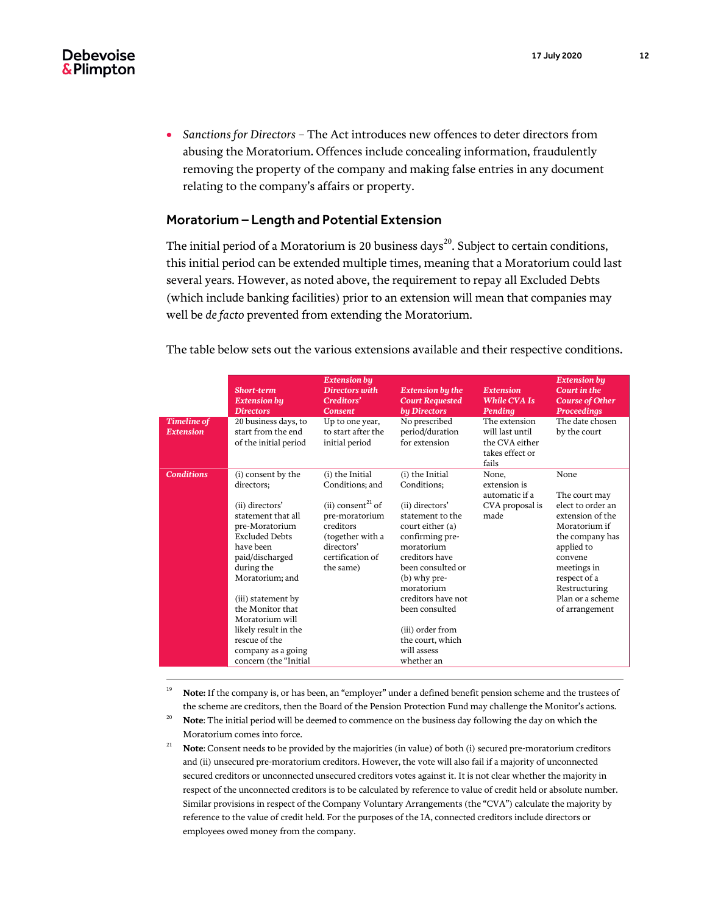*Sanctions for Directors* – The Act introduces new offences to deter directors from abusing the Moratorium. Offences include concealing information, fraudulently removing the property of the company and making false entries in any document relating to the company's affairs or property.

#### <span id="page-11-0"></span>Moratorium – Length and Potential Extension

The initial period of a Moratorium is 20 business days<sup>20</sup>. Subject to certain conditions, this initial period can be extended multiple times, meaning that a Moratorium could last several years. However, as noted above, the requirement to repay all Excluded Debts (which include banking facilities) prior to an extension will mean that companies may well be *de facto* prevented from extending the Moratorium.

The table below sets out the various extensions available and their respective conditions.

|                                        | <b>Short-term</b><br><b>Extension bu</b><br><b>Directors</b>                                                                                                                                                                                       | <b>Extension by</b><br><b>Directors with</b><br>Creditors'<br><b>Consent</b>                                                                                          | <b>Extension by the</b><br><b>Court Requested</b><br>by Directors                                                                                                                                                                       | <b>Extension</b><br><b>While CVA Is</b><br>Pending<br>The extension | <b>Extension by</b><br>Court in the<br><b>Course of Other</b><br><b>Proceedings</b><br>The date chosen                                                                                                            |
|----------------------------------------|----------------------------------------------------------------------------------------------------------------------------------------------------------------------------------------------------------------------------------------------------|-----------------------------------------------------------------------------------------------------------------------------------------------------------------------|-----------------------------------------------------------------------------------------------------------------------------------------------------------------------------------------------------------------------------------------|---------------------------------------------------------------------|-------------------------------------------------------------------------------------------------------------------------------------------------------------------------------------------------------------------|
| <b>Timeline of</b><br><b>Extension</b> | 20 business days, to<br>start from the end<br>of the initial period                                                                                                                                                                                | Up to one year,<br>to start after the<br>initial period                                                                                                               | No prescribed<br>period/duration<br>for extension                                                                                                                                                                                       | will last until<br>the CVA either<br>takes effect or<br>fails       | by the court                                                                                                                                                                                                      |
| <b>Conditions</b>                      | (i) consent by the<br>directors;<br>(ii) directors'<br>statement that all<br>pre-Moratorium<br><b>Excluded Debts</b><br>have been<br>paid/discharged<br>during the<br>Moratorium; and<br>(iii) statement by<br>the Monitor that<br>Moratorium will | (i) the Initial<br>Conditions; and<br>(ii) consent <sup>21</sup> of<br>pre-moratorium<br>creditors<br>(together with a<br>directors'<br>certification of<br>the same) | (i) the Initial<br>Conditions;<br>(ii) directors'<br>statement to the<br>court either (a)<br>confirming pre-<br>moratorium<br>creditors have<br>been consulted or<br>(b) why pre-<br>moratorium<br>creditors have not<br>been consulted | None,<br>extension is<br>automatic if a<br>CVA proposal is<br>made  | None<br>The court may<br>elect to order an<br>extension of the<br>Moratorium if<br>the company has<br>applied to<br>convene<br>meetings in<br>respect of a<br>Restructuring<br>Plan or a scheme<br>of arrangement |
|                                        | likely result in the<br>rescue of the<br>company as a going<br>concern (the "Initial                                                                                                                                                               |                                                                                                                                                                       | (iii) order from<br>the court, which<br>will assess<br>whether an                                                                                                                                                                       |                                                                     |                                                                                                                                                                                                                   |

<sup>19</sup> **Note:** If the company is, or has been, an "employer" under a defined benefit pension scheme and the trustees of the scheme are creditors, then the Board of the Pension Protection Fund may challenge the Monitor's actions.

- <sup>20</sup> **Note**: The initial period will be deemed to commence on the business day following the day on which the Moratorium comes into force.
- <sup>21</sup> **Note**: Consent needs to be provided by the majorities (in value) of both (i) secured pre-moratorium creditors and (ii) unsecured pre-moratorium creditors. However, the vote will also fail if a majority of unconnected secured creditors or unconnected unsecured creditors votes against it. It is not clear whether the majority in respect of the unconnected creditors is to be calculated by reference to value of credit held or absolute number. Similar provisions in respect of the Company Voluntary Arrangements (the "CVA") calculate the majority by reference to the value of credit held. For the purposes of the IA, connected creditors include directors or employees owed money from the company.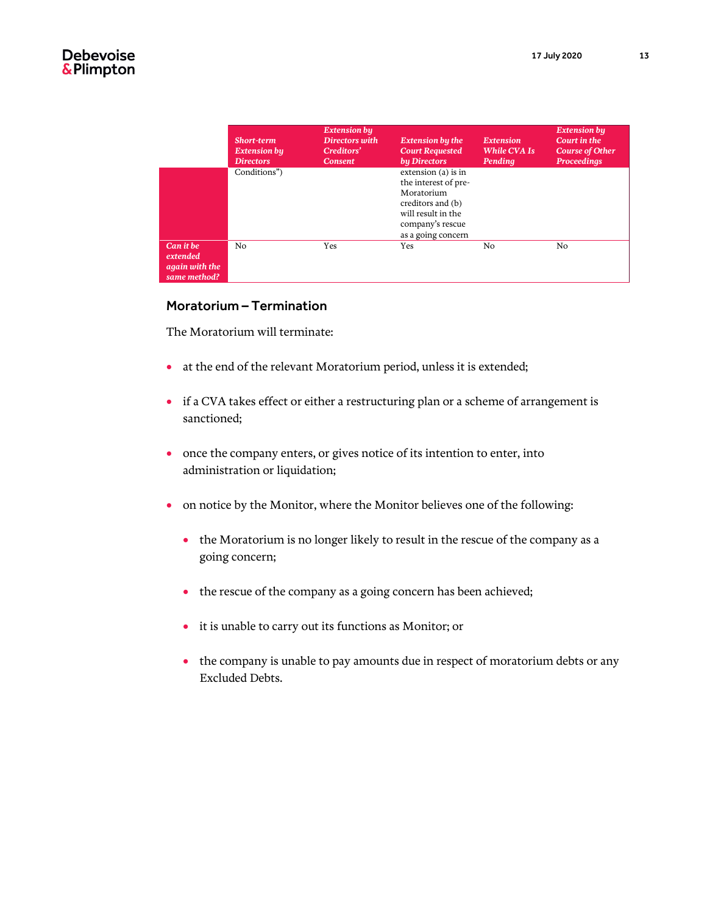|                                                         | <b>Short-term</b><br><b>Extension by</b><br><b>Directors</b> | <b>Extension by</b><br>Directors with<br>Creditors'<br><b>Consent</b> | <b>Extension by the</b><br><b>Court Requested</b><br>by Directors                                                                              | <b>Extension</b><br><b>While CVA Is</b><br>Pending | <b>Extension bu</b><br>Court in the<br><b>Course of Other</b><br><b>Proceedings</b> |
|---------------------------------------------------------|--------------------------------------------------------------|-----------------------------------------------------------------------|------------------------------------------------------------------------------------------------------------------------------------------------|----------------------------------------------------|-------------------------------------------------------------------------------------|
|                                                         | Conditions")                                                 |                                                                       | extension (a) is in<br>the interest of pre-<br>Moratorium<br>creditors and (b)<br>will result in the<br>company's rescue<br>as a going concern |                                                    |                                                                                     |
| Can it be<br>extended<br>again with the<br>same method? | N <sub>0</sub>                                               | Yes                                                                   | <b>Yes</b>                                                                                                                                     | N <sub>0</sub>                                     | No.                                                                                 |

#### <span id="page-12-0"></span>Moratorium – Termination

The Moratorium will terminate:

- at the end of the relevant Moratorium period, unless it is extended;
- if a CVA takes effect or either a restructuring plan or a scheme of arrangement is sanctioned;
- once the company enters, or gives notice of its intention to enter, into administration or liquidation;
- on notice by the Monitor, where the Monitor believes one of the following:
	- the Moratorium is no longer likely to result in the rescue of the company as a going concern;
	- the rescue of the company as a going concern has been achieved;
	- it is unable to carry out its functions as Monitor; or
	- the company is unable to pay amounts due in respect of moratorium debts or any Excluded Debts.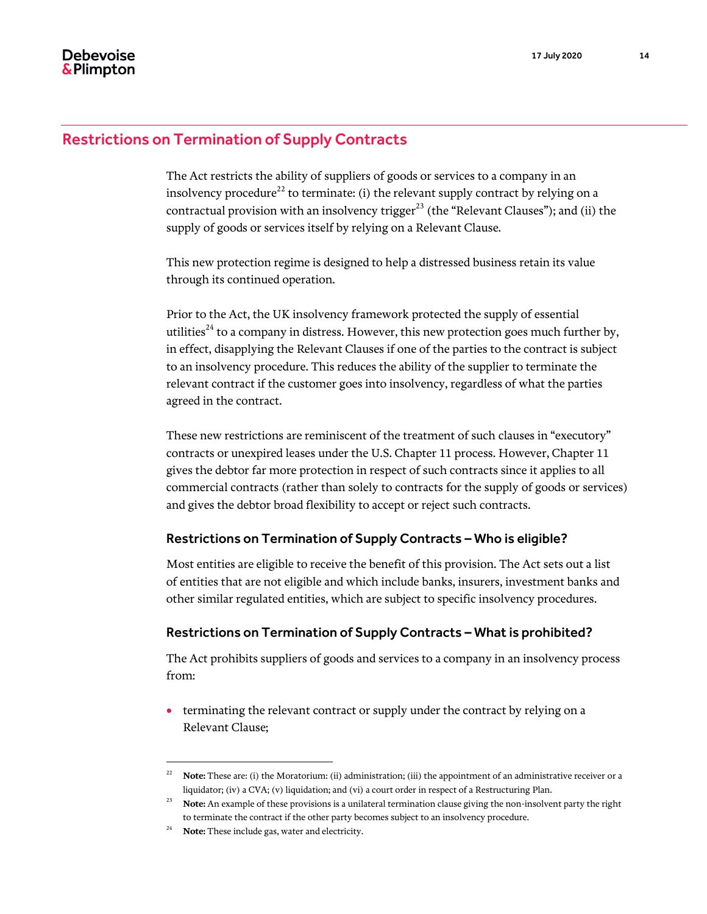## <span id="page-13-0"></span>Restrictions on Termination of Supply Contracts

The Act restricts the ability of suppliers of goods or services to a company in an insolvency procedure<sup>22</sup> to terminate: (i) the relevant supply contract by relying on a contractual provision with an insolvency trigger<sup>23</sup> (the "Relevant Clauses"); and (ii) the supply of goods or services itself by relying on a Relevant Clause.

This new protection regime is designed to help a distressed business retain its value through its continued operation.

Prior to the Act, the UK insolvency framework protected the supply of essential utilities<sup>24</sup> to a company in distress. However, this new protection goes much further by, in effect, disapplying the Relevant Clauses if one of the parties to the contract is subject to an insolvency procedure. This reduces the ability of the supplier to terminate the relevant contract if the customer goes into insolvency, regardless of what the parties agreed in the contract.

These new restrictions are reminiscent of the treatment of such clauses in "executory" contracts or unexpired leases under the U.S. Chapter 11 process. However, Chapter 11 gives the debtor far more protection in respect of such contracts since it applies to all commercial contracts (rather than solely to contracts for the supply of goods or services) and gives the debtor broad flexibility to accept or reject such contracts.

#### <span id="page-13-1"></span>Restrictions on Termination of Supply Contracts – Who is eligible?

Most entities are eligible to receive the benefit of this provision. The Act sets out a list of entities that are not eligible and which include banks, insurers, investment banks and other similar regulated entities, which are subject to specific insolvency procedures.

#### <span id="page-13-2"></span>Restrictions on Termination of Supply Contracts – What is prohibited?

The Act prohibits suppliers of goods and services to a company in an insolvency process from:

 terminating the relevant contract or supply under the contract by relying on a Relevant Clause;

<sup>&</sup>lt;sup>22</sup> **Note:** These are: (i) the Moratorium: (ii) administration; (iii) the appointment of an administrative receiver or a liquidator; (iv) a CVA; (v) liquidation; and (vi) a court order in respect of a Restructuring Plan.

<sup>&</sup>lt;sup>23</sup> **Note:** An example of these provisions is a unilateral termination clause giving the non-insolvent party the right to terminate the contract if the other party becomes subject to an insolvency procedure.

Note: These include gas, water and electricity.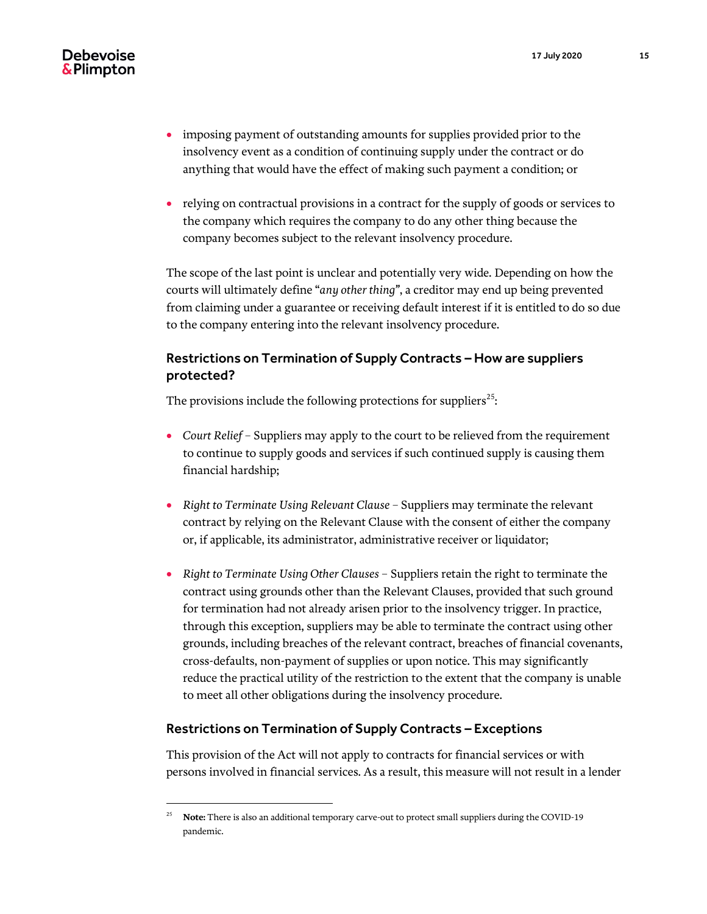- imposing payment of outstanding amounts for supplies provided prior to the insolvency event as a condition of continuing supply under the contract or do anything that would have the effect of making such payment a condition; or
- relying on contractual provisions in a contract for the supply of goods or services to the company which requires the company to do any other thing because the company becomes subject to the relevant insolvency procedure.

The scope of the last point is unclear and potentially very wide. Depending on how the courts will ultimately define "*any other thing"*, a creditor may end up being prevented from claiming under a guarantee or receiving default interest if it is entitled to do so due to the company entering into the relevant insolvency procedure.

# <span id="page-14-0"></span>Restrictions on Termination of Supply Contracts – How are suppliers protected?

The provisions include the following protections for suppliers $^{25}$ :

- *Court Relief –* Suppliers may apply to the court to be relieved from the requirement to continue to supply goods and services if such continued supply is causing them financial hardship;
- *Right to Terminate Using Relevant Clause –* Suppliers may terminate the relevant contract by relying on the Relevant Clause with the consent of either the company or, if applicable, its administrator, administrative receiver or liquidator;
- *Right to Terminate Using Other Clauses*  Suppliers retain the right to terminate the contract using grounds other than the Relevant Clauses, provided that such ground for termination had not already arisen prior to the insolvency trigger. In practice, through this exception, suppliers may be able to terminate the contract using other grounds, including breaches of the relevant contract, breaches of financial covenants, cross-defaults, non-payment of supplies or upon notice. This may significantly reduce the practical utility of the restriction to the extent that the company is unable to meet all other obligations during the insolvency procedure.

#### <span id="page-14-1"></span>Restrictions on Termination of Supply Contracts – Exceptions

 $\overline{a}$ 

This provision of the Act will not apply to contracts for financial services or with persons involved in financial services. As a result, this measure will not result in a lender

<sup>&</sup>lt;sup>25</sup> **Note:** There is also an additional temporary carve-out to protect small suppliers during the COVID-19 pandemic.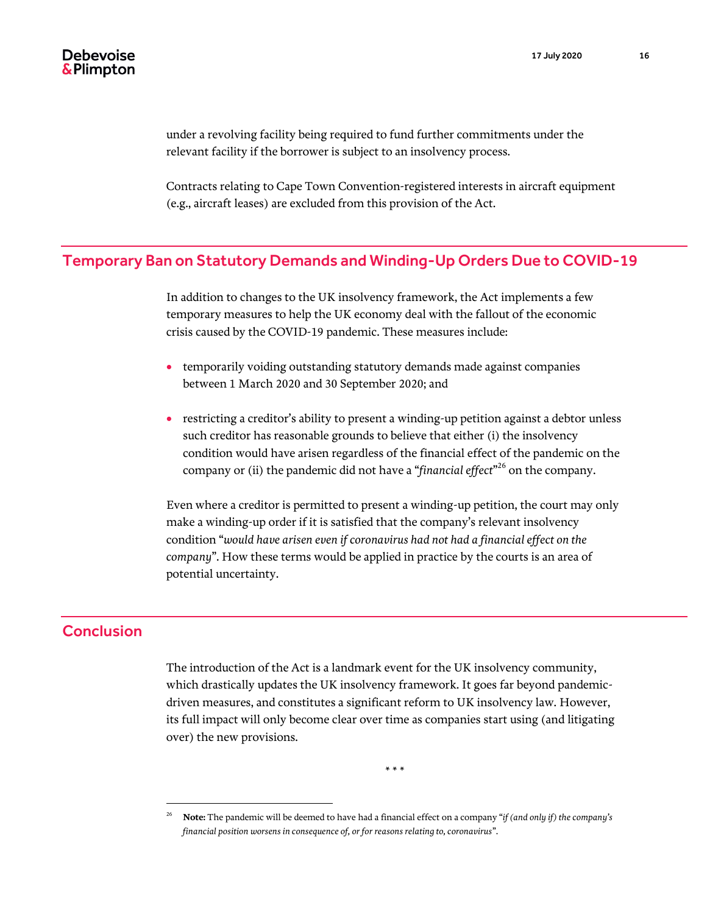under a revolving facility being required to fund further commitments under the relevant facility if the borrower is subject to an insolvency process.

Contracts relating to Cape Town Convention-registered interests in aircraft equipment (e.g., aircraft leases) are excluded from this provision of the Act.

# <span id="page-15-0"></span>Temporary Ban on Statutory Demands and Winding-Up Orders Due to COVID-19

In addition to changes to the UK insolvency framework, the Act implements a few temporary measures to help the UK economy deal with the fallout of the economic crisis caused by the COVID-19 pandemic. These measures include:

- temporarily voiding outstanding statutory demands made against companies between 1 March 2020 and 30 September 2020; and
- restricting a creditor's ability to present a winding-up petition against a debtor unless such creditor has reasonable grounds to believe that either (i) the insolvency condition would have arisen regardless of the financial effect of the pandemic on the company or (ii) the pandemic did not have a "*financial effect*" <sup>26</sup> on the company.

Even where a creditor is permitted to present a winding-up petition, the court may only make a winding-up order if it is satisfied that the company's relevant insolvency condition "*would have arisen even if coronavirus had not had a financial effect on the company*". How these terms would be applied in practice by the courts is an area of potential uncertainty.

# <span id="page-15-1"></span>Conclusion

 $\overline{a}$ 

The introduction of the Act is a landmark event for the UK insolvency community, which drastically updates the UK insolvency framework. It goes far beyond pandemicdriven measures, and constitutes a significant reform to UK insolvency law. However, its full impact will only become clear over time as companies start using (and litigating over) the new provisions.

\* \* \*

<sup>26</sup> **Note:** The pandemic will be deemed to have had a financial effect on a company "*if (and only if) the company's financial position worsens in consequence of, or for reasons relating to, coronavirus*".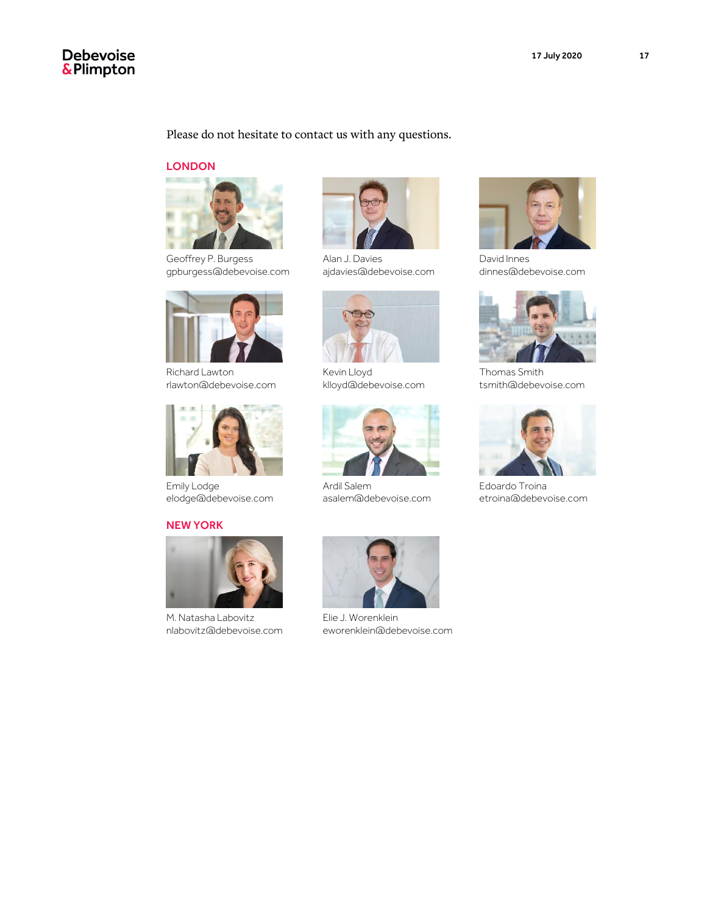# Debevoise<br>&Plimpton

#### Please do not hesitate to contact us with any questions.

#### **LONDON**



Geoffrey P. Burgess gpburgess@debevoise.com



Richard Lawton rlawton@debevoise.com



Emily Lodge elodge@debevoise.com

#### NEW YORK



M. Natasha Labovitz nlabovitz@debevoise.com



Alan J. Davies ajdavies@debevoise.com



Kevin Lloyd klloyd@debevoise.com



Ardil Salem asalem@debevoise.com



Elie J. Worenklein eworenklein@debevoise.com



David Innes dinnes@debevoise.com



Thomas Smith tsmith@debevoise.com



Edoardo Troina etroina@debevoise.com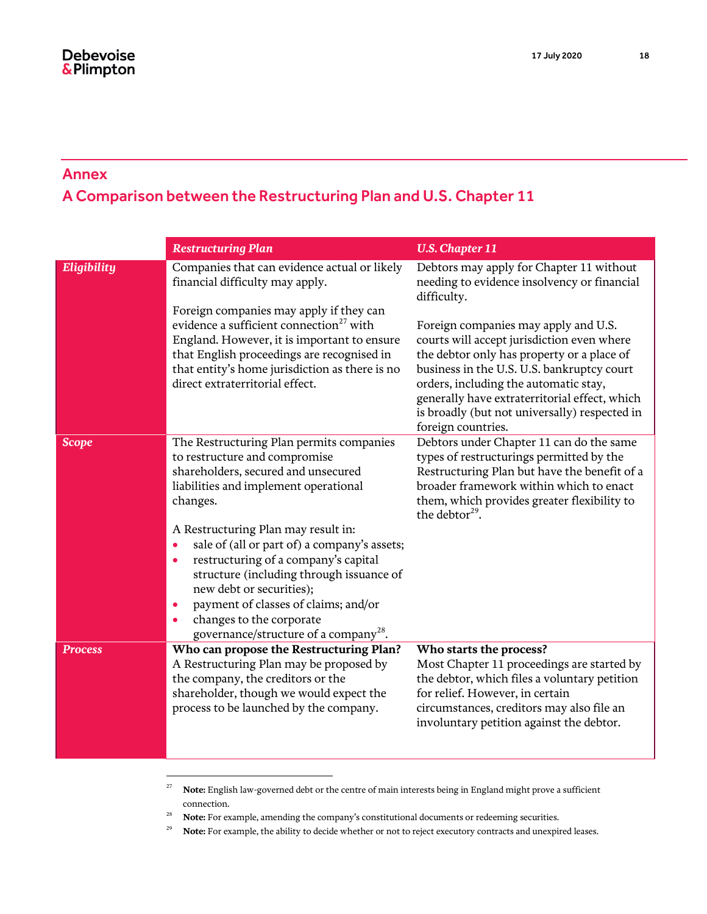# <span id="page-17-0"></span>Annex A Comparison between the Restructuring Plan and U.S. Chapter 11

|                | <b>Restructuring Plan</b>                                                                                                                                                                                                                                                                                                                                                                                                                                                                                                            | <b>U.S. Chapter 11</b>                                                                                                                                                                                                                                                                                                                          |
|----------------|--------------------------------------------------------------------------------------------------------------------------------------------------------------------------------------------------------------------------------------------------------------------------------------------------------------------------------------------------------------------------------------------------------------------------------------------------------------------------------------------------------------------------------------|-------------------------------------------------------------------------------------------------------------------------------------------------------------------------------------------------------------------------------------------------------------------------------------------------------------------------------------------------|
| Eligibility    | Companies that can evidence actual or likely<br>financial difficulty may apply.                                                                                                                                                                                                                                                                                                                                                                                                                                                      | Debtors may apply for Chapter 11 without<br>needing to evidence insolvency or financial<br>difficulty.                                                                                                                                                                                                                                          |
|                | Foreign companies may apply if they can<br>evidence a sufficient connection <sup>27</sup> with<br>England. However, it is important to ensure<br>that English proceedings are recognised in<br>that entity's home jurisdiction as there is no<br>direct extraterritorial effect.                                                                                                                                                                                                                                                     | Foreign companies may apply and U.S.<br>courts will accept jurisdiction even where<br>the debtor only has property or a place of<br>business in the U.S. U.S. bankruptcy court<br>orders, including the automatic stay,<br>generally have extraterritorial effect, which<br>is broadly (but not universally) respected in<br>foreign countries. |
| <b>Scope</b>   | The Restructuring Plan permits companies<br>to restructure and compromise<br>shareholders, secured and unsecured<br>liabilities and implement operational<br>changes.<br>A Restructuring Plan may result in:<br>sale of (all or part of) a company's assets;<br>$\bullet$<br>restructuring of a company's capital<br>$\bullet$<br>structure (including through issuance of<br>new debt or securities);<br>payment of classes of claims; and/or<br>۰<br>changes to the corporate<br>governance/structure of a company <sup>28</sup> . | Debtors under Chapter 11 can do the same<br>types of restructurings permitted by the<br>Restructuring Plan but have the benefit of a<br>broader framework within which to enact<br>them, which provides greater flexibility to<br>the debtor <sup>29</sup> .                                                                                    |
| <b>Process</b> | Who can propose the Restructuring Plan?<br>A Restructuring Plan may be proposed by<br>the company, the creditors or the<br>shareholder, though we would expect the<br>process to be launched by the company.                                                                                                                                                                                                                                                                                                                         | Who starts the process?<br>Most Chapter 11 proceedings are started by<br>the debtor, which files a voluntary petition<br>for relief. However, in certain<br>circumstances, creditors may also file an<br>involuntary petition against the debtor.                                                                                               |

<sup>27</sup> **Note:** English law-governed debt or the centre of main interests being in England might prove a sufficient connection.

<sup>28</sup> **Note:** For example, amending the company's constitutional documents or redeeming securities.

 $\overline{a}$ 

<sup>29</sup> **Note:** For example, the ability to decide whether or not to reject executory contracts and unexpired leases.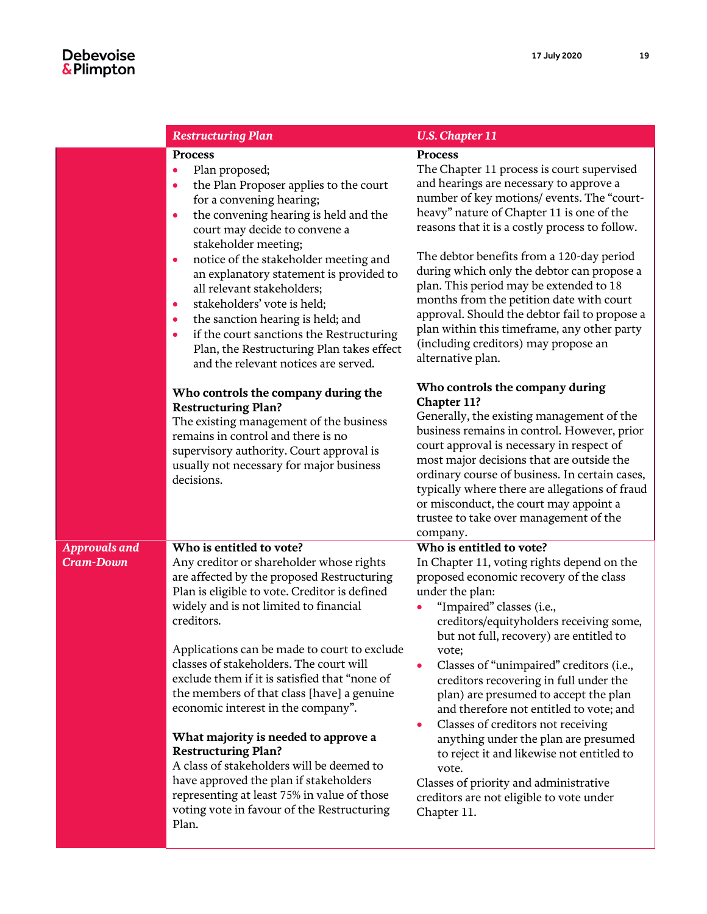|                                          | <b>Restructuring Plan</b>                                                                                                                                                                                                                                                                                                                                                                                                                                                                                                                                                                                                                                                                                                      | <b>U.S. Chapter 11</b>                                                                                                                                                                                                                                                                                                                                                                                                                                                                                                                                                                                                                                                                                        |
|------------------------------------------|--------------------------------------------------------------------------------------------------------------------------------------------------------------------------------------------------------------------------------------------------------------------------------------------------------------------------------------------------------------------------------------------------------------------------------------------------------------------------------------------------------------------------------------------------------------------------------------------------------------------------------------------------------------------------------------------------------------------------------|---------------------------------------------------------------------------------------------------------------------------------------------------------------------------------------------------------------------------------------------------------------------------------------------------------------------------------------------------------------------------------------------------------------------------------------------------------------------------------------------------------------------------------------------------------------------------------------------------------------------------------------------------------------------------------------------------------------|
|                                          | <b>Process</b><br>Plan proposed;<br>$\bullet$<br>the Plan Proposer applies to the court<br>$\bullet$<br>for a convening hearing;<br>the convening hearing is held and the<br>$\bullet$<br>court may decide to convene a<br>stakeholder meeting;<br>notice of the stakeholder meeting and<br>$\bullet$<br>an explanatory statement is provided to<br>all relevant stakeholders;<br>stakeholders' vote is held;<br>$\bullet$<br>the sanction hearing is held; and<br>$\bullet$<br>if the court sanctions the Restructuring<br>$\bullet$<br>Plan, the Restructuring Plan takes effect<br>and the relevant notices are served.                                                                                                     | <b>Process</b><br>The Chapter 11 process is court supervised<br>and hearings are necessary to approve a<br>number of key motions/ events. The "court-<br>heavy" nature of Chapter 11 is one of the<br>reasons that it is a costly process to follow.<br>The debtor benefits from a 120-day period<br>during which only the debtor can propose a<br>plan. This period may be extended to 18<br>months from the petition date with court<br>approval. Should the debtor fail to propose a<br>plan within this timeframe, any other party<br>(including creditors) may propose an<br>alternative plan.                                                                                                           |
|                                          | Who controls the company during the<br><b>Restructuring Plan?</b><br>The existing management of the business<br>remains in control and there is no<br>supervisory authority. Court approval is<br>usually not necessary for major business<br>decisions.                                                                                                                                                                                                                                                                                                                                                                                                                                                                       | Who controls the company during<br><b>Chapter 11?</b><br>Generally, the existing management of the<br>business remains in control. However, prior<br>court approval is necessary in respect of<br>most major decisions that are outside the<br>ordinary course of business. In certain cases,<br>typically where there are allegations of fraud<br>or misconduct, the court may appoint a<br>trustee to take over management of the<br>company.                                                                                                                                                                                                                                                               |
| <b>Approvals and</b><br><b>Cram-Down</b> | Who is entitled to vote?<br>Any creditor or shareholder whose rights<br>are affected by the proposed Restructuring<br>Plan is eligible to vote. Creditor is defined<br>widely and is not limited to financial<br>creditors.<br>Applications can be made to court to exclude<br>classes of stakeholders. The court will<br>exclude them if it is satisfied that "none of<br>the members of that class [have] a genuine<br>economic interest in the company".<br>What majority is needed to approve a<br><b>Restructuring Plan?</b><br>A class of stakeholders will be deemed to<br>have approved the plan if stakeholders<br>representing at least 75% in value of those<br>voting vote in favour of the Restructuring<br>Plan. | Who is entitled to vote?<br>In Chapter 11, voting rights depend on the<br>proposed economic recovery of the class<br>under the plan:<br>"Impaired" classes (i.e.,<br>$\bullet$<br>creditors/equityholders receiving some,<br>but not full, recovery) are entitled to<br>vote;<br>Classes of "unimpaired" creditors (i.e.,<br>creditors recovering in full under the<br>plan) are presumed to accept the plan<br>and therefore not entitled to vote; and<br>Classes of creditors not receiving<br>$\bullet$<br>anything under the plan are presumed<br>to reject it and likewise not entitled to<br>vote.<br>Classes of priority and administrative<br>creditors are not eligible to vote under<br>Chapter 11. |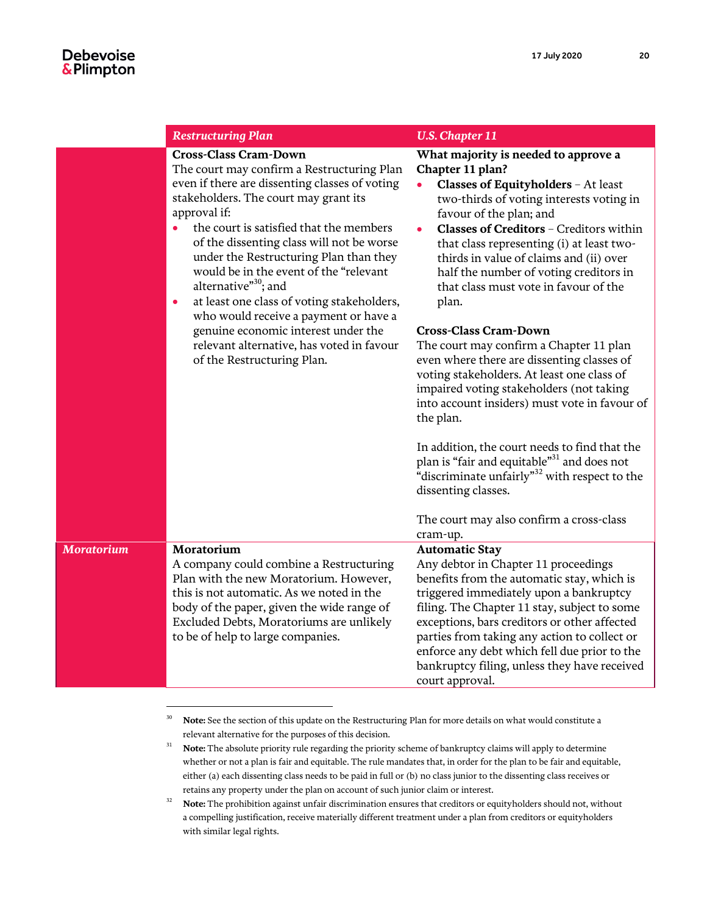|                   | <b>Restructuring Plan</b>                                                                                                                                                                                                                                                                                                                                                                                                                                                                                                                                                                                                                | <b>U.S. Chapter 11</b>                                                                                                                                                                                                                                                                                                                                                                                                                                                                                                                                                                                                                                                                                                                                                                                                                                                                 |
|-------------------|------------------------------------------------------------------------------------------------------------------------------------------------------------------------------------------------------------------------------------------------------------------------------------------------------------------------------------------------------------------------------------------------------------------------------------------------------------------------------------------------------------------------------------------------------------------------------------------------------------------------------------------|----------------------------------------------------------------------------------------------------------------------------------------------------------------------------------------------------------------------------------------------------------------------------------------------------------------------------------------------------------------------------------------------------------------------------------------------------------------------------------------------------------------------------------------------------------------------------------------------------------------------------------------------------------------------------------------------------------------------------------------------------------------------------------------------------------------------------------------------------------------------------------------|
|                   | <b>Cross-Class Cram-Down</b><br>The court may confirm a Restructuring Plan<br>even if there are dissenting classes of voting<br>stakeholders. The court may grant its<br>approval if:<br>the court is satisfied that the members<br>$\bullet$<br>of the dissenting class will not be worse<br>under the Restructuring Plan than they<br>would be in the event of the "relevant<br>alternative" <sup>30</sup> ; and<br>at least one class of voting stakeholders,<br>$\bullet$<br>who would receive a payment or have a<br>genuine economic interest under the<br>relevant alternative, has voted in favour<br>of the Restructuring Plan. | What majority is needed to approve a<br>Chapter 11 plan?<br>Classes of Equityholders - At least<br>two-thirds of voting interests voting in<br>favour of the plan; and<br>Classes of Creditors - Creditors within<br>that class representing (i) at least two-<br>thirds in value of claims and (ii) over<br>half the number of voting creditors in<br>that class must vote in favour of the<br>plan.<br><b>Cross-Class Cram-Down</b><br>The court may confirm a Chapter 11 plan<br>even where there are dissenting classes of<br>voting stakeholders. At least one class of<br>impaired voting stakeholders (not taking<br>into account insiders) must vote in favour of<br>the plan.<br>In addition, the court needs to find that the<br>plan is "fair and equitable" <sup>31</sup> and does not<br>"discriminate unfairly" <sup>32</sup> with respect to the<br>dissenting classes. |
|                   |                                                                                                                                                                                                                                                                                                                                                                                                                                                                                                                                                                                                                                          | The court may also confirm a cross-class<br>cram-up.                                                                                                                                                                                                                                                                                                                                                                                                                                                                                                                                                                                                                                                                                                                                                                                                                                   |
| <b>Moratorium</b> | Moratorium                                                                                                                                                                                                                                                                                                                                                                                                                                                                                                                                                                                                                               | <b>Automatic Stay</b>                                                                                                                                                                                                                                                                                                                                                                                                                                                                                                                                                                                                                                                                                                                                                                                                                                                                  |
|                   | A company could combine a Restructuring<br>Plan with the new Moratorium. However,<br>this is not automatic. As we noted in the<br>body of the paper, given the wide range of<br>Excluded Debts, Moratoriums are unlikely<br>to be of help to large companies.                                                                                                                                                                                                                                                                                                                                                                            | Any debtor in Chapter 11 proceedings<br>benefits from the automatic stay, which is<br>triggered immediately upon a bankruptcy<br>filing. The Chapter 11 stay, subject to some<br>exceptions, bars creditors or other affected<br>parties from taking any action to collect or<br>enforce any debt which fell due prior to the<br>bankruptcy filing, unless they have received<br>court approval.                                                                                                                                                                                                                                                                                                                                                                                                                                                                                       |

<sup>&</sup>lt;sup>30</sup> **Note:** See the section of this update on the Restructuring Plan for more details on what would constitute a relevant alternative for the purposes of this decision.

<sup>&</sup>lt;sup>31</sup> **Note:** The absolute priority rule regarding the priority scheme of bankruptcy claims will apply to determine whether or not a plan is fair and equitable. The rule mandates that, in order for the plan to be fair and equitable, either (a) each dissenting class needs to be paid in full or (b) no class junior to the dissenting class receives or retains any property under the plan on account of such junior claim or interest.

<sup>&</sup>lt;sup>32</sup> **Note:** The prohibition against unfair discrimination ensures that creditors or equityholders should not, without a compelling justification, receive materially different treatment under a plan from creditors or equityholders with similar legal rights.